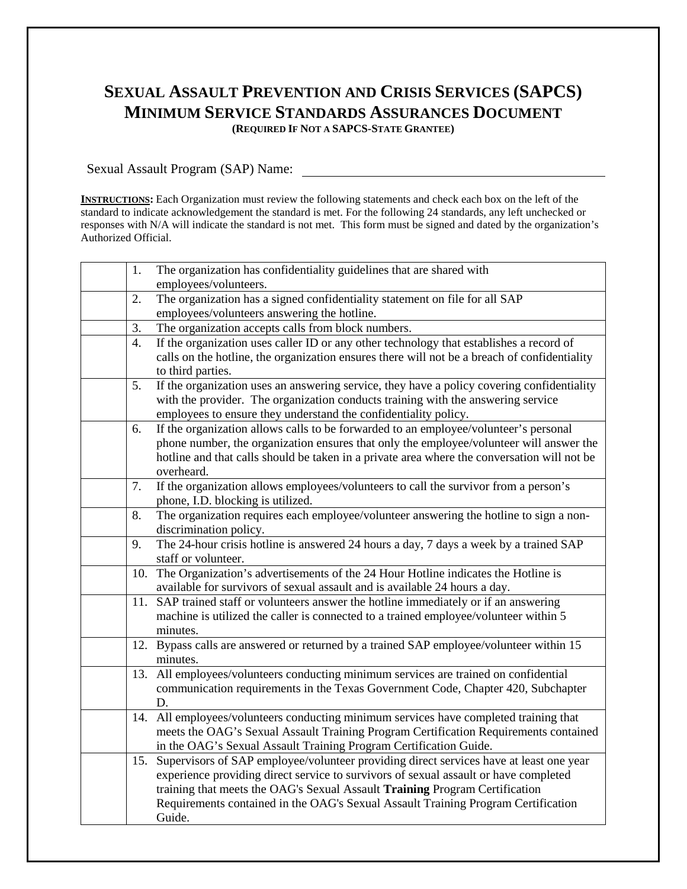## **SEXUAL ASSAULT PREVENTION AND CRISIS SERVICES (SAPCS) MINIMUM SERVICE STANDARDS ASSURANCES DOCUMENT**

**(REQUIRED IF NOT A SAPCS-STATE GRANTEE)**

Sexual Assault Program (SAP) Name:

**INSTRUCTIONS:** Each Organization must review the following statements and check each box on the left of the standard to indicate acknowledgement the standard is met. For the following 24 standards, any left unchecked or responses with N/A will indicate the standard is not met. This form must be signed and dated by the organization's Authorized Official.

| 1.  | The organization has confidentiality guidelines that are shared with                                     |
|-----|----------------------------------------------------------------------------------------------------------|
|     | employees/volunteers.                                                                                    |
| 2.  | The organization has a signed confidentiality statement on file for all SAP                              |
|     | employees/volunteers answering the hotline.                                                              |
| 3.  | The organization accepts calls from block numbers.                                                       |
| 4.  | If the organization uses caller ID or any other technology that establishes a record of                  |
|     | calls on the hotline, the organization ensures there will not be a breach of confidentiality             |
|     | to third parties.                                                                                        |
| 5.  | If the organization uses an answering service, they have a policy covering confidentiality               |
|     | with the provider. The organization conducts training with the answering service                         |
|     | employees to ensure they understand the confidentiality policy.                                          |
| 6.  | If the organization allows calls to be forwarded to an employee/volunteer's personal                     |
|     | phone number, the organization ensures that only the employee/volunteer will answer the                  |
|     | hotline and that calls should be taken in a private area where the conversation will not be              |
|     | overheard.                                                                                               |
| 7.  | If the organization allows employees/volunteers to call the survivor from a person's                     |
|     | phone, I.D. blocking is utilized.                                                                        |
| 8.  | The organization requires each employee/volunteer answering the hotline to sign a non-                   |
|     | discrimination policy.                                                                                   |
| 9.  | The 24-hour crisis hotline is answered 24 hours a day, 7 days a week by a trained SAP                    |
|     | staff or volunteer.<br>The Organization's advertisements of the 24 Hour Hotline indicates the Hotline is |
| 10. | available for survivors of sexual assault and is available 24 hours a day.                               |
| 11. | SAP trained staff or volunteers answer the hotline immediately or if an answering                        |
|     | machine is utilized the caller is connected to a trained employee/volunteer within 5                     |
|     | minutes.                                                                                                 |
|     | 12. Bypass calls are answered or returned by a trained SAP employee/volunteer within 15                  |
|     | minutes.                                                                                                 |
| 13. | All employees/volunteers conducting minimum services are trained on confidential                         |
|     | communication requirements in the Texas Government Code, Chapter 420, Subchapter                         |
|     | D.                                                                                                       |
|     | 14. All employees/volunteers conducting minimum services have completed training that                    |
|     | meets the OAG's Sexual Assault Training Program Certification Requirements contained                     |
|     | in the OAG's Sexual Assault Training Program Certification Guide.                                        |
| 15. | Supervisors of SAP employee/volunteer providing direct services have at least one year                   |
|     | experience providing direct service to survivors of sexual assault or have completed                     |
|     | training that meets the OAG's Sexual Assault Training Program Certification                              |
|     | Requirements contained in the OAG's Sexual Assault Training Program Certification                        |
|     | Guide.                                                                                                   |
|     |                                                                                                          |